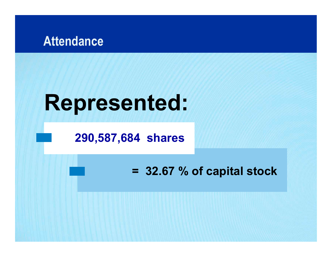

# **Represented:**

#### **290,587,684 shares**

#### **= 32.67 % of capital stock**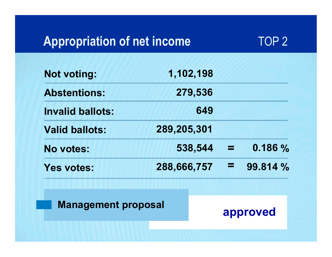### **Appropriation of net income**



| <b>Not voting:</b>         | 1,102,198   |                |          |
|----------------------------|-------------|----------------|----------|
| <b>Abstentions:</b>        | 279,536     |                |          |
| <b>Invalid ballots:</b>    | 649         |                |          |
| <b>Valid ballots:</b>      | 289,205,301 |                |          |
| No votes:                  | 538,544     | $\mathbb{Z}^n$ | 0.186%   |
| <b>Yes votes:</b>          | 288,666,757 | Е              | 99.814 % |
| <b>Management proposal</b> |             |                | approved |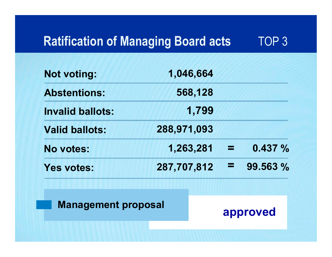#### **Ratification of Managing Board acts** 3

| <b>Not voting:</b>         | 1,046,664   |          |
|----------------------------|-------------|----------|
| <b>Abstentions:</b>        | 568,128     |          |
| <b>Invalid ballots:</b>    | 1,799       |          |
| <b>Valid ballots:</b>      | 288,971,093 |          |
| No votes:                  | 1,263,281   | 0.437%   |
| <b>Yes votes:</b>          | 287,707,812 | 99.563 % |
| <b>Management proposal</b> |             | approved |
|                            |             |          |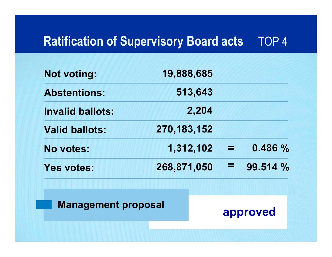#### **Ratification of Supervisory Board acts** 4

| <b>Not voting:</b>         | 19,888,685    |   |          |
|----------------------------|---------------|---|----------|
| <b>Abstentions:</b>        | 513,643       |   |          |
| <b>Invalid ballots:</b>    | 2,204         |   |          |
| <b>Valid ballots:</b>      | 270, 183, 152 |   |          |
| <b>No votes:</b>           | 1,312,102     |   | 0.486%   |
| <b>Yes votes:</b>          | 268,871,050   | Е | 99.514 % |
| <b>Management proposal</b> |               |   | approved |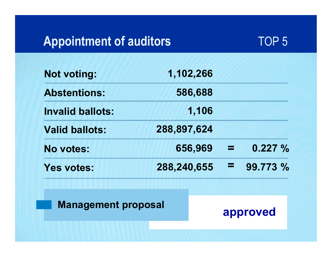### **Appointment of auditors**



| <b>Not voting:</b>         | 1,102,266   |   |          |
|----------------------------|-------------|---|----------|
| <b>Abstentions:</b>        | 586,688     |   |          |
| <b>Invalid ballots:</b>    | 1,106       |   |          |
| <b>Valid ballots:</b>      | 288,897,624 |   |          |
| No votes:                  | 656,969     |   | 0.227%   |
| <b>Yes votes:</b>          | 288,240,655 | Е | 99.773 % |
| <b>Management proposal</b> |             |   | approved |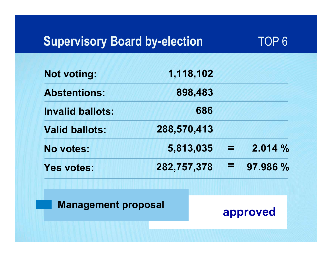## **Supervisory Board by-election**



| <b>Not voting:</b>         | 1,118,102   |   |          |
|----------------------------|-------------|---|----------|
| <b>Abstentions:</b>        | 898,483     |   |          |
| <b>Invalid ballots:</b>    | 686         |   |          |
| <b>Valid ballots:</b>      | 288,570,413 |   |          |
| No votes:                  | 5,813,035   |   | 2.014%   |
| <b>Yes votes:</b>          | 282,757,378 | E | 97.986 % |
| <b>Management proposal</b> |             |   | approved |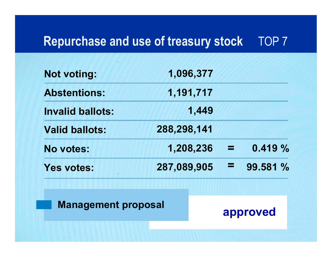#### **Repurchase and use of treasury stock** 7

| <b>Not voting:</b>         | 1,096,377   |          |
|----------------------------|-------------|----------|
| <b>Abstentions:</b>        | 1,191,717   |          |
| <b>Invalid ballots:</b>    | 1,449       |          |
| <b>Valid ballots:</b>      | 288,298,141 |          |
| <b>No votes:</b>           | 1,208,236   | 0.419%   |
| <b>Yes votes:</b>          | 287,089,905 | 99.581 % |
| <b>Management proposal</b> |             | approved |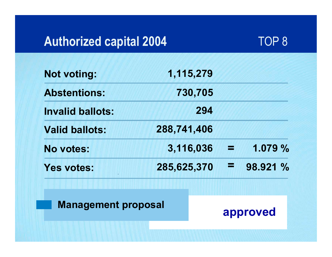## **Authorized capital 2004**



| <b>Not voting:</b>         | 1,115,279   |          |
|----------------------------|-------------|----------|
| <b>Abstentions:</b>        | 730,705     |          |
| <b>Invalid ballots:</b>    | 294         |          |
| <b>Valid ballots:</b>      | 288,741,406 |          |
| No votes:                  | 3,116,036   | 1.079 %  |
| <b>Yes votes:</b>          | 285,625,370 | 98.921 % |
| <b>Management proposal</b> |             | approved |